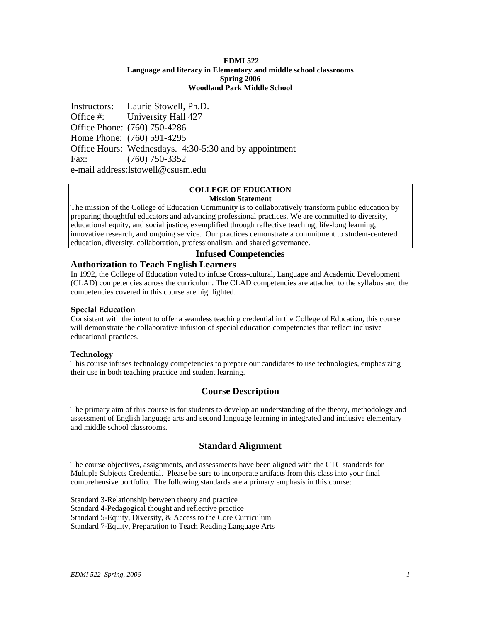#### **EDMI 522 Language and literacy in Elementary and middle school classrooms Spring 2006 Woodland Park Middle School**

Instructors: Laurie Stowell, Ph.D. Office #: University Hall 427 Office Phone: (760) 750-4286 Home Phone: (760) 591-4295 Office Hours: Wednesdays. 4:30-5:30 and by appointment Fax: (760) 750-3352 e-mail address:lstowell@csusm.edu

#### **COLLEGE OF EDUCATION Mission Statement**

The mission of the College of Education Community is to collaboratively transform public education by preparing thoughtful educators and advancing professional practices. We are committed to diversity, educational equity, and social justice, exemplified through reflective teaching, life-long learning, innovative research, and ongoing service. Our practices demonstrate a commitment to student-centered education, diversity, collaboration, professionalism, and shared governance.

## **Infused Competencies**

## **Authorization to Teach English Learners**

In 1992, the College of Education voted to infuse Cross-cultural, Language and Academic Development (CLAD) competencies across the curriculum. The CLAD competencies are attached to the syllabus and the competencies covered in this course are highlighted.

### **Special Education**

Consistent with the intent to offer a seamless teaching credential in the College of Education, this course will demonstrate the collaborative infusion of special education competencies that reflect inclusive educational practices.

## **Technology**

This course infuses technology competencies to prepare our candidates to use technologies, emphasizing their use in both teaching practice and student learning.

## **Course Description**

The primary aim of this course is for students to develop an understanding of the theory, methodology and assessment of English language arts and second language learning in integrated and inclusive elementary and middle school classrooms.

## **Standard Alignment**

The course objectives, assignments, and assessments have been aligned with the CTC standards for Multiple Subjects Credential. Please be sure to incorporate artifacts from this class into your final comprehensive portfolio. The following standards are a primary emphasis in this course:

Standard 3-Relationship between theory and practice Standard 4-Pedagogical thought and reflective practice Standard 5-Equity, Diversity, & Access to the Core Curriculum Standard 7-Equity, Preparation to Teach Reading Language Arts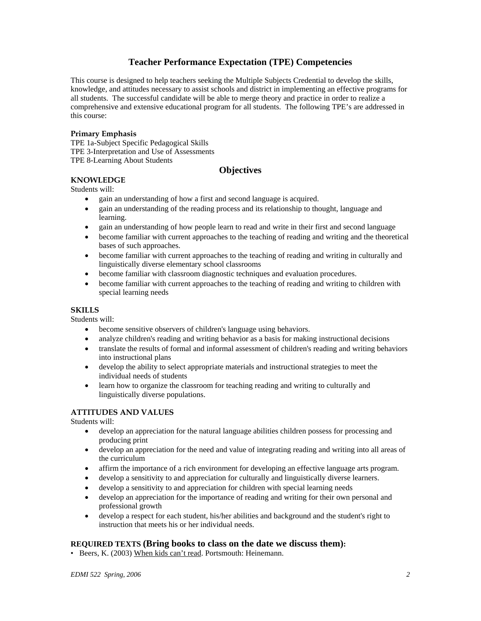# **Teacher Performance Expectation (TPE) Competencies**

This course is designed to help teachers seeking the Multiple Subjects Credential to develop the skills, knowledge, and attitudes necessary to assist schools and district in implementing an effective programs for all students. The successful candidate will be able to merge theory and practice in order to realize a comprehensive and extensive educational program for all students. The following TPE's are addressed in this course:

## **Primary Emphasis**

TPE 1a-Subject Specific Pedagogical Skills TPE 3-Interpretation and Use of Assessments TPE 8-Learning About Students

## **Objectives**

## **KNOWLEDGE**

Students will:

- gain an understanding of how a first and second language is acquired.
- gain an understanding of the reading process and its relationship to thought, language and learning.
- gain an understanding of how people learn to read and write in their first and second language
- become familiar with current approaches to the teaching of reading and writing and the theoretical bases of such approaches.
- become familiar with current approaches to the teaching of reading and writing in culturally and linguistically diverse elementary school classrooms
- become familiar with classroom diagnostic techniques and evaluation procedures.
- become familiar with current approaches to the teaching of reading and writing to children with special learning needs

#### **SKILLS**

Students will:

- become sensitive observers of children's language using behaviors.
- analyze children's reading and writing behavior as a basis for making instructional decisions
- translate the results of formal and informal assessment of children's reading and writing behaviors into instructional plans
- develop the ability to select appropriate materials and instructional strategies to meet the individual needs of students
- learn how to organize the classroom for teaching reading and writing to culturally and linguistically diverse populations.

## **ATTITUDES AND VALUES**

Students will:

- develop an appreciation for the natural language abilities children possess for processing and producing print
- develop an appreciation for the need and value of integrating reading and writing into all areas of the curriculum
- affirm the importance of a rich environment for developing an effective language arts program.
- develop a sensitivity to and appreciation for culturally and linguistically diverse learners.
- develop a sensitivity to and appreciation for children with special learning needs
- develop an appreciation for the importance of reading and writing for their own personal and professional growth
- develop a respect for each student, his/her abilities and background and the student's right to instruction that meets his or her individual needs.

## **REQUIRED TEXTS (Bring books to class on the date we discuss them):**

• Beers, K. (2003) When kids can't read. Portsmouth: Heinemann.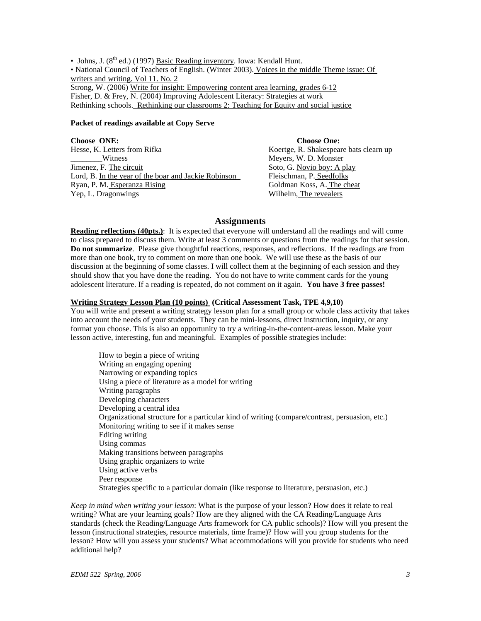• Johns, J.  $(8^{th}$  ed.) (1997) Basic Reading inventory. Iowa: Kendall Hunt. • National Council of Teachers of English. (Winter 2003). Voices in the middle Theme issue: Of writers and writing. Vol 11. No. 2 Strong, W. (2006) Write for insight: Empowering content area learning, grades 6-12 Fisher, D. & Frey, N. (2004) Improving Adolescent Literacy: Strategies at work Rethinking schools. Rethinking our classrooms 2: Teaching for Equity and social justice

#### **Packet of readings available at Copy Serve**

**Choose ONE:** Choose One: Hesse, K. Letters from Rifka Koertge, R. Shakespeare bats clearn up Witness Meyers, W. D. Monster Jimenez, F. The circuit Soto, G. Novio boy: A play Lord, B. In the year of the boar and Jackie Robinson Fleischman, P. Seedfolks Ryan, P. M. Esperanza Rising Goldman Koss, A. The cheat Yep, L. Dragonwings Wilhelm, The revealers

## **Assignments**

**Reading reflections (40pts.)**: It is expected that everyone will understand all the readings and will come to class prepared to discuss them. Write at least 3 comments or questions from the readings for that session. **Do not summarize**. Please give thoughtful reactions, responses, and reflections. If the readings are from more than one book, try to comment on more than one book. We will use these as the basis of our discussion at the beginning of some classes. I will collect them at the beginning of each session and they should show that you have done the reading. You do not have to write comment cards for the young adolescent literature. If a reading is repeated, do not comment on it again. **You have 3 free passes!** 

#### **Writing Strategy Lesson Plan (10 points) (Critical Assessment Task, TPE 4,9,10)**

You will write and present a writing strategy lesson plan for a small group or whole class activity that takes into account the needs of your students. They can be mini-lessons, direct instruction, inquiry, or any format you choose. This is also an opportunity to try a writing-in-the-content-areas lesson. Make your lesson active, interesting, fun and meaningful. Examples of possible strategies include:

How to begin a piece of writing Writing an engaging opening Narrowing or expanding topics Using a piece of literature as a model for writing Writing paragraphs Developing characters Developing a central idea Organizational structure for a particular kind of writing (compare/contrast, persuasion, etc.) Monitoring writing to see if it makes sense Editing writing Using commas Making transitions between paragraphs Using graphic organizers to write Using active verbs Peer response Strategies specific to a particular domain (like response to literature, persuasion, etc.)

*Keep in mind when writing your lesson*: What is the purpose of your lesson? How does it relate to real writing? What are your learning goals? How are they aligned with the CA Reading/Language Arts standards (check the Reading/Language Arts framework for CA public schools)? How will you present the lesson (instructional strategies, resource materials, time frame)? How will you group students for the lesson? How will you assess your students? What accommodations will you provide for students who need additional help?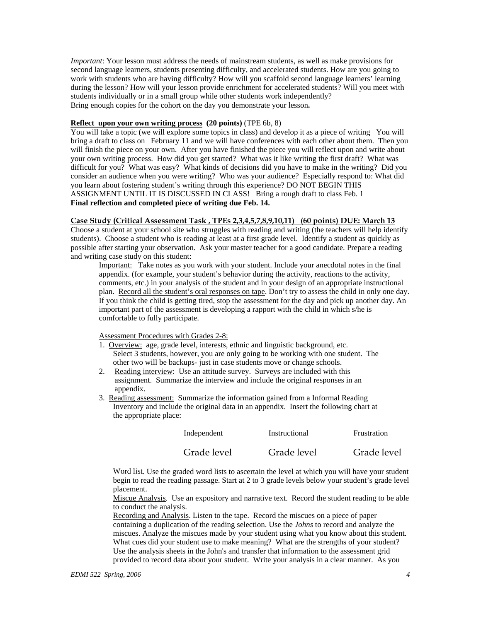*Important*: Your lesson must address the needs of mainstream students, as well as make provisions for second language learners, students presenting difficulty, and accelerated students. How are you going to work with students who are having difficulty? How will you scaffold second language learners' learning during the lesson? How will your lesson provide enrichment for accelerated students? Will you meet with students individually or in a small group while other students work independently? Bring enough copies for the cohort on the day you demonstrate your lesson**.** 

#### **Reflect upon your own writing process (20 points)** (TPE 6b, 8)

You will take a topic (we will explore some topics in class) and develop it as a piece of writing You will bring a draft to class on February 11 and we will have conferences with each other about them. Then you will finish the piece on your own. After you have finished the piece you will reflect upon and write about your own writing process. How did you get started? What was it like writing the first draft? What was difficult for you? What was easy? What kinds of decisions did you have to make in the writing? Did you consider an audience when you were writing? Who was your audience? Especially respond to: What did you learn about fostering student's writing through this experience? DO NOT BEGIN THIS ASSIGNMENT UNTIL IT IS DISCUSSED IN CLASS! Bring a rough draft to class Feb. 1 **Final reflection and completed piece of writing due Feb. 14.** 

#### **Case Study (Critical Assessment Task , TPEs 2,3,4,5,7,8,9,10,11) (60 points) DUE: March 13**

Choose a student at your school site who struggles with reading and writing (the teachers will help identify students). Choose a student who is reading at least at a first grade level. Identify a student as quickly as possible after starting your observation. Ask your master teacher for a good candidate. Prepare a reading and writing case study on this student:

Important: Take notes as you work with your student. Include your anecdotal notes in the final appendix. (for example, your student's behavior during the activity, reactions to the activity, comments, etc.) in your analysis of the student and in your design of an appropriate instructional plan. Record all the student's oral responses on tape. Don't try to assess the child in only one day. If you think the child is getting tired, stop the assessment for the day and pick up another day. An important part of the assessment is developing a rapport with the child in which s/he is comfortable to fully participate.

Assessment Procedures with Grades 2-8:

- 1. Overview: age, grade level, interests, ethnic and linguistic background, etc. Select 3 students, however, you are only going to be working with one student. The other two will be backups- just in case students move or change schools.
- 2. Reading interview: Use an attitude survey. Surveys are included with this assignment. Summarize the interview and include the original responses in an appendix.
- 3. Reading assessment: Summarize the information gained from a Informal Reading Inventory and include the original data in an appendix. Insert the following chart at the appropriate place:

| Independent | Instructional | Frustration |
|-------------|---------------|-------------|
| Grade level | Grade level   | Grade level |

Word list. Use the graded word lists to ascertain the level at which you will have your student begin to read the reading passage. Start at 2 to 3 grade levels below your student's grade level placement.

Miscue Analysis. Use an expository and narrative text. Record the student reading to be able to conduct the analysis.

Recording and Analysis. Listen to the tape. Record the miscues on a piece of paper containing a duplication of the reading selection. Use the *Johns* to record and analyze the miscues. Analyze the miscues made by your student using what you know about this student. What cues did your student use to make meaning? What are the strengths of your student? Use the analysis sheets in the John's and transfer that information to the assessment grid provided to record data about your student. Write your analysis in a clear manner. As you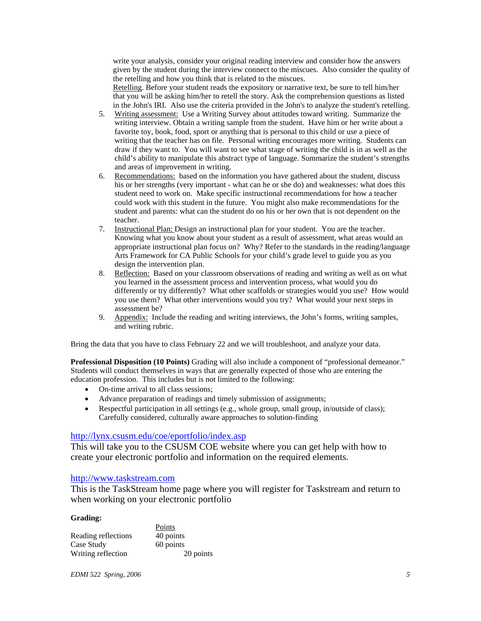write your analysis, consider your original reading interview and consider how the answers given by the student during the interview connect to the miscues. Also consider the quality of the retelling and how you think that is related to the miscues. Retelling. Before your student reads the expository or narrative text, be sure to tell him/her

that you will be asking him/her to retell the story. Ask the comprehension questions as listed in the John's IRI. Also use the criteria provided in the John's to analyze the student's retelling.

- 5. Writing assessment: Use a Writing Survey about attitudes toward writing. Summarize the writing interview. Obtain a writing sample from the student. Have him or her write about a favorite toy, book, food, sport or anything that is personal to this child or use a piece of writing that the teacher has on file. Personal writing encourages more writing. Students can draw if they want to. You will want to see what stage of writing the child is in as well as the child's ability to manipulate this abstract type of language. Summarize the student's strengths and areas of improvement in writing.
- 6. Recommendations: based on the information you have gathered about the student, discuss his or her strengths (very important - what can he or she do) and weaknesses: what does this student need to work on. Make specific instructional recommendations for how a teacher could work with this student in the future. You might also make recommendations for the student and parents: what can the student do on his or her own that is not dependent on the teacher.
- 7. Instructional Plan: Design an instructional plan for your student. You are the teacher. Knowing what you know about your student as a result of assessment, what areas would an appropriate instructional plan focus on? Why? Refer to the standards in the reading/language Arts Framework for CA Public Schools for your child's grade level to guide you as you design the intervention plan.
- 8. Reflection: Based on your classroom observations of reading and writing as well as on what you learned in the assessment process and intervention process, what would you do differently or try differently? What other scaffolds or strategies would you use? How would you use them? What other interventions would you try? What would your next steps in assessment be?
- 9. Appendix: Include the reading and writing interviews, the John's forms, writing samples, and writing rubric.

Bring the data that you have to class February 22 and we will troubleshoot, and analyze your data.

**Professional Disposition (10 Points)** Grading will also include a component of "professional demeanor." Students will conduct themselves in ways that are generally expected of those who are entering the education profession. This includes but is not limited to the following:

- On-time arrival to all class sessions;
- Advance preparation of readings and timely submission of assignments;
- Respectful participation in all settings (e.g., whole group, small group, in/outside of class); Carefully considered, culturally aware approaches to solution-finding

## http://lynx.csusm.edu/coe/eportfolio/index.asp

This will take you to the CSUSM COE website where you can get help with how to create your electronic portfolio and information on the required elements.

## http://www.taskstream.com

This is the TaskStream home page where you will register for Taskstream and return to when working on your electronic portfolio

## **Grading:**

|                     | Points    |
|---------------------|-----------|
| Reading reflections | 40 points |
| Case Study          | 60 points |
| Writing reflection  | 20 points |

*EDMI 522 Spring, 2006 5*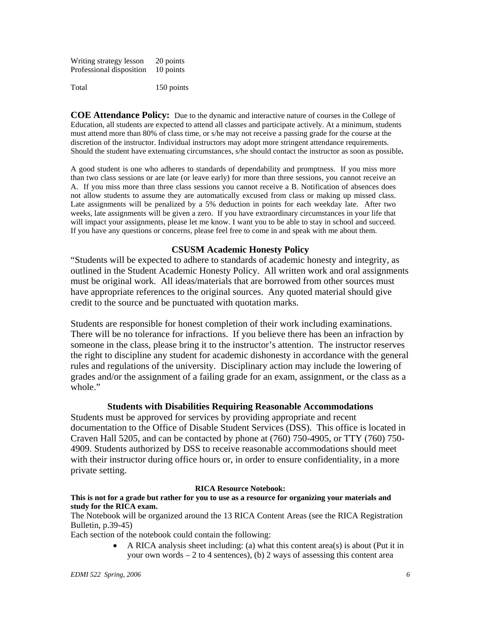Writing strategy lesson 20 points Professional disposition 10 points Total 150 points

**COE Attendance Policy:** Due to the dynamic and interactive nature of courses in the College of Education, all students are expected to attend all classes and participate actively. At a minimum, students must attend more than 80% of class time, or s/he may not receive a passing grade for the course at the discretion of the instructor. Individual instructors may adopt more stringent attendance requirements. Should the student have extenuating circumstances, s/he should contact the instructor as soon as possible**.** 

A good student is one who adheres to standards of dependability and promptness. If you miss more than two class sessions or are late (or leave early) for more than three sessions, you cannot receive an A. If you miss more than three class sessions you cannot receive a B. Notification of absences does not allow students to assume they are automatically excused from class or making up missed class. Late assignments will be penalized by a 5% deduction in points for each weekday late. After two weeks, late assignments will be given a zero. If you have extraordinary circumstances in your life that will impact your assignments, please let me know. I want you to be able to stay in school and succeed. If you have any questions or concerns, please feel free to come in and speak with me about them.

## **CSUSM Academic Honesty Policy**

"Students will be expected to adhere to standards of academic honesty and integrity, as outlined in the Student Academic Honesty Policy. All written work and oral assignments must be original work. All ideas/materials that are borrowed from other sources must have appropriate references to the original sources. Any quoted material should give credit to the source and be punctuated with quotation marks.

Students are responsible for honest completion of their work including examinations. There will be no tolerance for infractions. If you believe there has been an infraction by someone in the class, please bring it to the instructor's attention. The instructor reserves the right to discipline any student for academic dishonesty in accordance with the general rules and regulations of the university. Disciplinary action may include the lowering of grades and/or the assignment of a failing grade for an exam, assignment, or the class as a whole."

## **Students with Disabilities Requiring Reasonable Accommodations**

Students must be approved for services by providing appropriate and recent documentation to the Office of Disable Student Services (DSS). This office is located in Craven Hall 5205, and can be contacted by phone at (760) 750-4905, or TTY (760) 750- 4909. Students authorized by DSS to receive reasonable accommodations should meet with their instructor during office hours or, in order to ensure confidentiality, in a more private setting.

## **RICA Resource Notebook:**

## **This is not for a grade but rather for you to use as a resource for organizing your materials and study for the RICA exam.**

The Notebook will be organized around the 13 RICA Content Areas (see the RICA Registration Bulletin, p.39-45)

Each section of the notebook could contain the following:

• A RICA analysis sheet including: (a) what this content area(s) is about (Put it in your own words  $-2$  to 4 sentences), (b) 2 ways of assessing this content area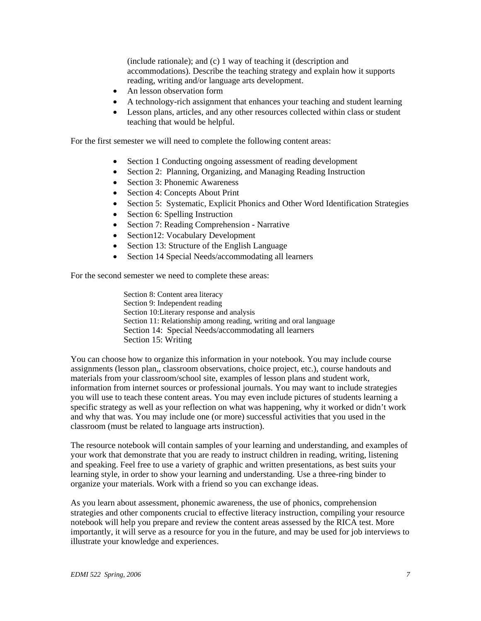(include rationale); and (c) 1 way of teaching it (description and accommodations). Describe the teaching strategy and explain how it supports reading, writing and/or language arts development.

- An lesson observation form
- A technology-rich assignment that enhances your teaching and student learning
- Lesson plans, articles, and any other resources collected within class or student teaching that would be helpful.

For the first semester we will need to complete the following content areas:

- Section 1 Conducting ongoing assessment of reading development
- Section 2: Planning, Organizing, and Managing Reading Instruction
- Section 3: Phonemic Awareness
- Section 4: Concepts About Print
- Section 5: Systematic, Explicit Phonics and Other Word Identification Strategies
- Section 6: Spelling Instruction
- Section 7: Reading Comprehension Narrative
- Section12: Vocabulary Development
- Section 13: Structure of the English Language
- Section 14 Special Needs/accommodating all learners

For the second semester we need to complete these areas:

Section 8: Content area literacy Section 9: Independent reading Section 10:Literary response and analysis Section 11: Relationship among reading, writing and oral language Section 14: Special Needs/accommodating all learners Section 15: Writing

You can choose how to organize this information in your notebook. You may include course assignments (lesson plan,, classroom observations, choice project, etc.), course handouts and materials from your classroom/school site, examples of lesson plans and student work, information from internet sources or professional journals. You may want to include strategies you will use to teach these content areas. You may even include pictures of students learning a specific strategy as well as your reflection on what was happening, why it worked or didn't work and why that was. You may include one (or more) successful activities that you used in the classroom (must be related to language arts instruction).

The resource notebook will contain samples of your learning and understanding, and examples of your work that demonstrate that you are ready to instruct children in reading, writing, listening and speaking. Feel free to use a variety of graphic and written presentations, as best suits your learning style, in order to show your learning and understanding. Use a three-ring binder to organize your materials. Work with a friend so you can exchange ideas.

As you learn about assessment, phonemic awareness, the use of phonics, comprehension strategies and other components crucial to effective literacy instruction, compiling your resource notebook will help you prepare and review the content areas assessed by the RICA test. More importantly, it will serve as a resource for you in the future, and may be used for job interviews to illustrate your knowledge and experiences.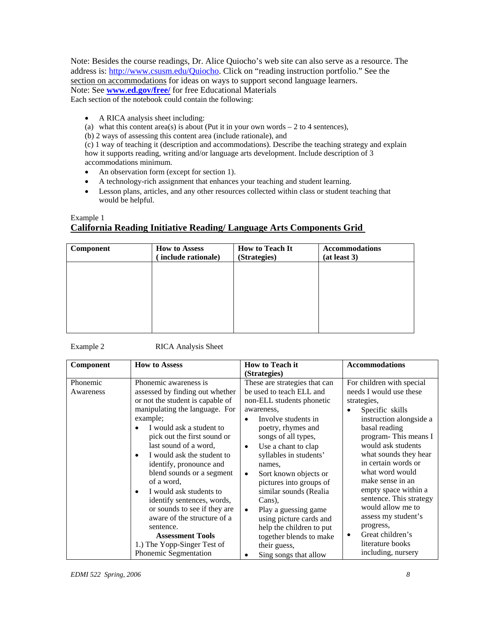Note: Besides the course readings, Dr. Alice Quiocho's web site can also serve as a resource. The address is: http://www.csusm.edu/Quiocho. Click on "reading instruction portfolio." See the section on accommodations for ideas on ways to support second language learners. Note: See **www.ed.gov/free/** for free Educational Materials Each section of the notebook could contain the following:

- A RICA analysis sheet including:
- (a) what this content area(s) is about (Put it in your own words  $-2$  to 4 sentences),
- (b) 2 ways of assessing this content area (include rationale), and

(c) 1 way of teaching it (description and accommodations). Describe the teaching strategy and explain how it supports reading, writing and/or language arts development. Include description of 3 accommodations minimum.

- An observation form (except for section 1).
- A technology-rich assignment that enhances your teaching and student learning.
- Lesson plans, articles, and any other resources collected within class or student teaching that would be helpful.

# Example 1 **California Reading Initiative Reading/ Language Arts Components Grid**

| Component | <b>How to Assess</b><br>include rationale) | <b>How to Teach It</b><br>(Strategies) | <b>Accommodations</b><br>(at least 3) |
|-----------|--------------------------------------------|----------------------------------------|---------------------------------------|
|           |                                            |                                        |                                       |
|           |                                            |                                        |                                       |
|           |                                            |                                        |                                       |
|           |                                            |                                        |                                       |

Example 2 RICA Analysis Sheet

| Component             | <b>How to Assess</b>                                                                                                                                                                                                                                                                                                                                                                                                                                                                                                                                                                 | <b>How to Teach it</b><br>(Strategies)                                                                                                                                                                                                                                                                                                                                                                                                                                                                                             | <b>Accommodations</b>                                                                                                                                                                                                                                                                                                                                                                                                                             |
|-----------------------|--------------------------------------------------------------------------------------------------------------------------------------------------------------------------------------------------------------------------------------------------------------------------------------------------------------------------------------------------------------------------------------------------------------------------------------------------------------------------------------------------------------------------------------------------------------------------------------|------------------------------------------------------------------------------------------------------------------------------------------------------------------------------------------------------------------------------------------------------------------------------------------------------------------------------------------------------------------------------------------------------------------------------------------------------------------------------------------------------------------------------------|---------------------------------------------------------------------------------------------------------------------------------------------------------------------------------------------------------------------------------------------------------------------------------------------------------------------------------------------------------------------------------------------------------------------------------------------------|
| Phonemic<br>Awareness | Phonemic awareness is<br>assessed by finding out whether<br>or not the student is capable of<br>manipulating the language. For<br>example;<br>I would ask a student to<br>pick out the first sound or<br>last sound of a word,<br>I would ask the student to<br>$\bullet$<br>identify, pronounce and<br>blend sounds or a segment<br>of a word,<br>I would ask students to<br>$\bullet$<br>identify sentences, words,<br>or sounds to see if they are<br>aware of the structure of a<br>sentence.<br><b>Assessment Tools</b><br>1.) The Yopp-Singer Test of<br>Phonemic Segmentation | These are strategies that can<br>be used to teach ELL and<br>non-ELL students phonetic<br>awareness,<br>Involve students in<br>$\bullet$<br>poetry, rhymes and<br>songs of all types,<br>Use a chant to clap<br>$\bullet$<br>syllables in students'<br>names,<br>Sort known objects or<br>$\bullet$<br>pictures into groups of<br>similar sounds (Realia<br>Cans),<br>Play a guessing game<br>$\bullet$<br>using picture cards and<br>help the children to put<br>together blends to make<br>their guess,<br>Sing songs that allow | For children with special<br>needs I would use these<br>strategies,<br>Specific skills<br>instruction alongside a<br>basal reading<br>program-This means I<br>would ask students<br>what sounds they hear<br>in certain words or<br>what word would<br>make sense in an<br>empty space within a<br>sentence. This strategy<br>would allow me to<br>assess my student's<br>progress,<br>Great children's<br>literature books<br>including, nursery |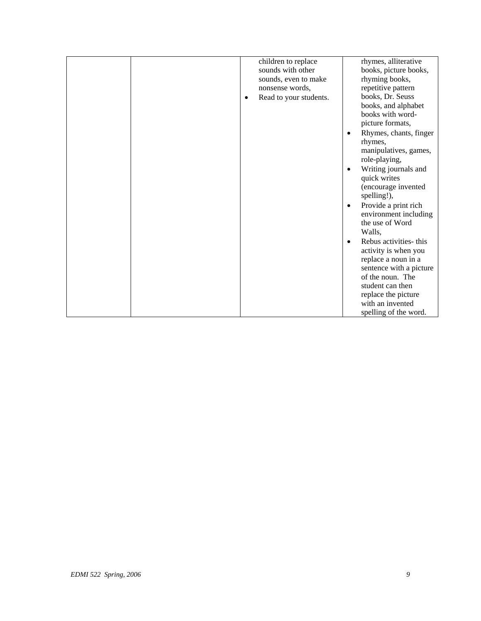|  | children to replace    | rhymes, alliterative                |
|--|------------------------|-------------------------------------|
|  | sounds with other      | books, picture books,               |
|  | sounds, even to make   | rhyming books,                      |
|  | nonsense words.        | repetitive pattern                  |
|  | Read to your students. | books, Dr. Seuss                    |
|  |                        | books, and alphabet                 |
|  |                        | books with word-                    |
|  |                        | picture formats,                    |
|  |                        | Rhymes, chants, finger<br>$\bullet$ |
|  |                        | rhymes,                             |
|  |                        | manipulatives, games,               |
|  |                        | role-playing,                       |
|  |                        | Writing journals and<br>$\bullet$   |
|  |                        | quick writes                        |
|  |                        | (encourage invented                 |
|  |                        | spelling!),                         |
|  |                        | Provide a print rich<br>$\bullet$   |
|  |                        | environment including               |
|  |                        | the use of Word                     |
|  |                        | Walls,                              |
|  |                        | Rebus activities- this<br>$\bullet$ |
|  |                        | activity is when you                |
|  |                        | replace a noun in a                 |
|  |                        | sentence with a picture             |
|  |                        | of the noun. The                    |
|  |                        | student can then                    |
|  |                        | replace the picture                 |
|  |                        | with an invented                    |
|  |                        | spelling of the word.               |